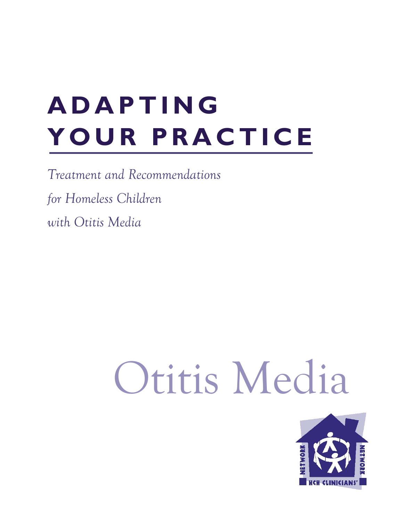# **ADAPTING YOUR PRACTICE**

*Treatment and Recommendations for Homeless Children with Otitis Media* 

# Otitis Media

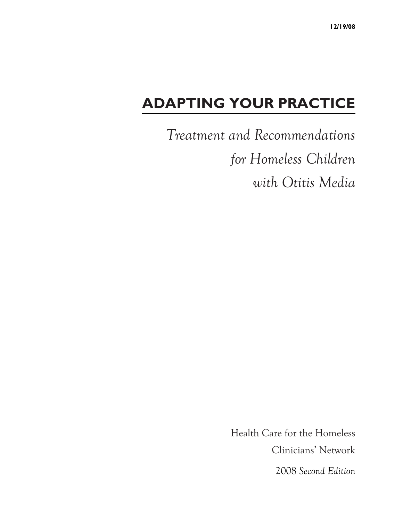### **ADAPTING YOUR PRACTICE**

*Treatment and Recommendations for Homeless Children with Otitis Media* 

> Health Care for the Homeless Clinicians' Network 2008 *Second Edition*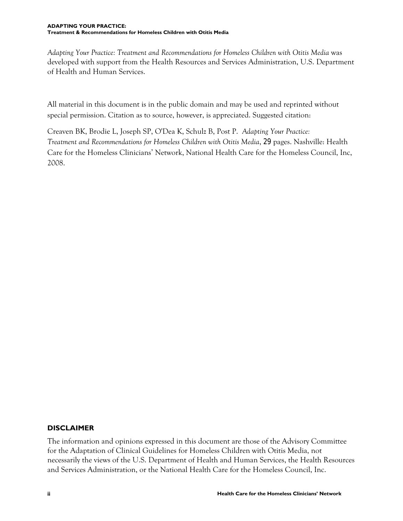*Adapting Your Practice: Treatment and Recommendations for Homeless Children with Otitis Media* was developed with support from the Health Resources and Services Administration, U.S. Department of Health and Human Services.

All material in this document is in the public domain and may be used and reprinted without special permission. Citation as to source, however, is appreciated. Suggested citation:

Creaven BK, Brodie L, Joseph SP, O'Dea K, Schulz B, Post P. *Adapting Your Practice: Treatment and Recommendations for Homeless Children with Otitis Media*, 29 pages. Nashville: Health Care for the Homeless Clinicians' Network, National Health Care for the Homeless Council, Inc, 2008.

#### **DISCLAIMER**

The information and opinions expressed in this document are those of the Advisory Committee for the Adaptation of Clinical Guidelines for Homeless Children with Otitis Media, not necessarily the views of the U.S. Department of Health and Human Services, the Health Resources and Services Administration, or the National Health Care for the Homeless Council, Inc.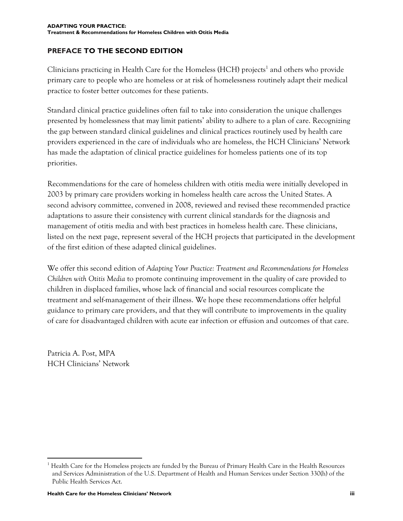#### **PREFACE TO THE SECOND EDITION**

Clinicians practicing in Health Care for the Homeless (HCH) projects<sup>1</sup> and others who provide primary care to people who are homeless or at risk of homelessness routinely adapt their medical practice to foster better outcomes for these patients.

Standard clinical practice guidelines often fail to take into consideration the unique challenges presented by homelessness that may limit patients' ability to adhere to a plan of care. Recognizing the gap between standard clinical guidelines and clinical practices routinely used by health care providers experienced in the care of individuals who are homeless, the HCH Clinicians' Network has made the adaptation of clinical practice guidelines for homeless patients one of its top priorities.

Recommendations for the care of homeless children with otitis media were initially developed in 2003 by primary care providers working in homeless health care across the United States. A second advisory committee, convened in 2008, reviewed and revised these recommended practice adaptations to assure their consistency with current clinical standards for the diagnosis and management of otitis media and with best practices in homeless health care. These clinicians, listed on the next page, represent several of the HCH projects that participated in the development of the first edition of these adapted clinical guidelines.

We offer this second edition of *Adapting Your Practice: Treatment and Recommendations for Homeless Children with Otitis Media* to promote continuing improvement in the quality of care provided to children in displaced families, whose lack of financial and social resources complicate the treatment and self-management of their illness. We hope these recommendations offer helpful guidance to primary care providers, and that they will contribute to improvements in the quality of care for disadvantaged children with acute ear infection or effusion and outcomes of that care.

Patricia A. Post, MPA HCH Clinicians' Network

 $\overline{a}$ <sup>1</sup> Health Care for the Homeless projects are funded by the Bureau of Primary Health Care in the Health Resources and Services Administration of the U.S. Department of Health and Human Services under Section 330(h) of the Public Health Services Act.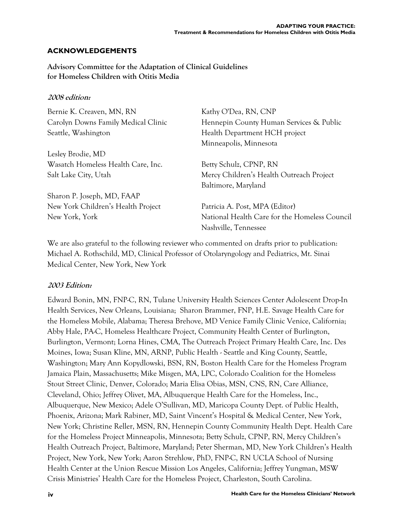#### **ACKNOWLEDGEMENTS**

**Advisory Committee for the Adaptation of Clinical Guidelines for Homeless Children with Otitis Media** 

#### **2008 edition:**

| Bernie K. Creaven, MN, RN           | Kathy O'Dea, RN, CNP                          |
|-------------------------------------|-----------------------------------------------|
| Carolyn Downs Family Medical Clinic | Hennepin County Human Services & Public       |
| Seattle, Washington                 | Health Department HCH project                 |
|                                     | Minneapolis, Minnesota                        |
| Lesley Brodie, MD                   |                                               |
| Wasatch Homeless Health Care, Inc.  | Betty Schulz, CPNP, RN                        |
| Salt Lake City, Utah                | Mercy Children's Health Outreach Project      |
|                                     | Baltimore, Maryland                           |
| Sharon P. Joseph, MD, FAAP          |                                               |
| New York Children's Health Project  | Patricia A. Post, MPA (Editor)                |
| New York, York                      | National Health Care for the Homeless Council |
|                                     | Nashville, Tennessee                          |
|                                     |                                               |

We are also grateful to the following reviewer who commented on drafts prior to publication: Michael A. Rothschild, MD, Clinical Professor of Otolaryngology and Pediatrics, Mt. Sinai Medical Center, New York, New York

#### **2003 Edition:**

Edward Bonin, MN, FNP-C, RN, Tulane University Health Sciences Center Adolescent Drop-In Health Services, New Orleans, Louisiana; Sharon Brammer, FNP, H.E. Savage Health Care for the Homeless Mobile, Alabama; Theresa Brehove, MD Venice Family Clinic Venice, California; Abby Hale, PA-C, Homeless Healthcare Project, Community Health Center of Burlington, Burlington, Vermont; Lorna Hines, CMA, The Outreach Project Primary Health Care, Inc. Des Moines, Iowa; Susan Kline, MN, ARNP, Public Health - Seattle and King County, Seattle, Washington; Mary Ann Kopydlowski, BSN, RN, Boston Health Care for the Homeless Program Jamaica Plain, Massachusetts; Mike Misgen, MA, LPC, Colorado Coalition for the Homeless Stout Street Clinic, Denver, Colorado; Maria Elisa Obias, MSN, CNS, RN, Care Alliance, Cleveland, Ohio; Jeffrey Olivet, MA, Albuquerque Health Care for the Homeless, Inc., Albuquerque, New Mexico; Adele O'Sullivan, MD, Maricopa County Dept. of Public Health, Phoenix, Arizona; Mark Rabiner, MD, Saint Vincent's Hospital & Medical Center, New York, New York; Christine Reller, MSN, RN, Hennepin County Community Health Dept. Health Care for the Homeless Project Minneapolis, Minnesota; Betty Schulz, CPNP, RN, Mercy Children's Health Outreach Project, Baltimore, Maryland; Peter Sherman, MD, New York Children's Health Project, New York, New York; Aaron Strehlow, PhD, FNP-C, RN UCLA School of Nursing Health Center at the Union Rescue Mission Los Angeles, California; Jeffrey Yungman, MSW Crisis Ministries' Health Care for the Homeless Project, Charleston, South Carolina.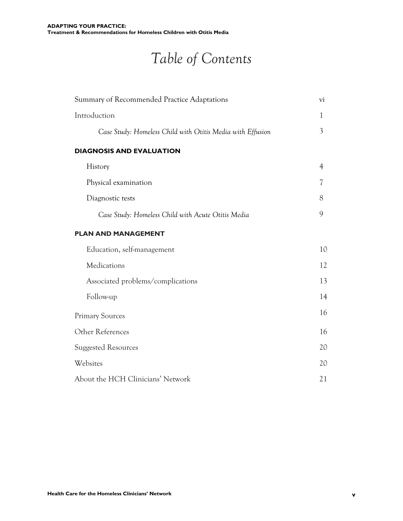## *Table of Contents*

| Summary of Recommended Practice Adaptations<br>Introduction |                          |
|-------------------------------------------------------------|--------------------------|
|                                                             |                          |
| <b>DIAGNOSIS AND EVALUATION</b>                             |                          |
| History                                                     | $\overline{4}$           |
| Physical examination                                        | $\overline{\mathcal{U}}$ |
| Diagnostic tests                                            | 8                        |
| Case Study: Homeless Child with Acute Otitis Media          | 9                        |
| <b>PLAN AND MANAGEMENT</b>                                  |                          |
| Education, self-management                                  | 10                       |
| Medications                                                 | 12                       |
| Associated problems/complications                           | 13                       |
| Follow-up                                                   | 14                       |
| <b>Primary Sources</b>                                      | 16                       |
| Other References                                            | 16                       |
| <b>Suggested Resources</b>                                  | 20                       |
| Websites                                                    | 20                       |
| About the HCH Clinicians' Network                           | 21                       |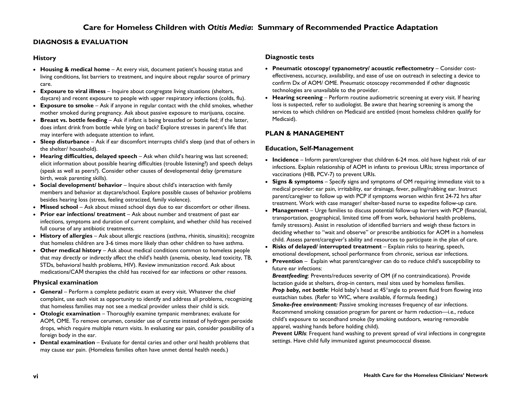#### **DIAGNOSIS & EVALUATION**

#### **History**

- **Housing & medical home** At every visit, document patient's housing status and living conditions, list barriers to treatment, and inquire about regular source of primary care.
- **Exposure to viral illness** Inquire about congregate living situations (shelters, daycare) and recent exposure to people with upper respiratory infections (colds, flu).
- **Exposure to smoke**  Ask if anyone in regular contact with the child smokes, whether mother smoked during pregnancy. Ask about passive exposure to marijuana, cocaine.
- **Breast vs. bottle feeding** Ask if infant is being breastfed or bottle fed; if the latter, does infant drink from bottle while lying on back? Explore stresses in parent's life that may interfere with adequate attention to infant.
- **Sleep disturbance** Ask if ear discomfort interrupts child's sleep (and that of others in the shelter/ household).
- **Hearing difficulties, delayed speech**  Ask when child's hearing was last screened; elicit information about possible hearing difficulties (trouble listening?) and speech delays (speak as well as peers?). Consider other causes of developmental delay (premature birth, weak parenting skills).
- **Social development/ behavior** Inquire about child's interaction with family members and behavior at daycare/school. Explore possible causes of behavior problems besides hearing loss (stress, feeling ostracized, family violence).
- **Missed school** Ask about missed school days due to ear discomfort or other illness.
- **Prior ear infections/ treatment** Ask about number and treatment of past ear infections, symptoms and duration of current complaint, and whether child has received full course of any antibiotic treatments.
- **History of allergies** Ask about allergic reactions (asthma, rhinitis, sinusitis); recognize that homeless children are 3-6 times more likely than other children to have asthma.
- **Other medical history** Ask about medical conditions common to homeless people that may directly or indirectly affect the child's health (anemia, obesity, lead toxicity, TB, STDs, behavioral health problems, HIV). Review immunization record. Ask about medications/CAM therapies the child has received for ear infections or other reasons.

#### **Physical examination**

- **General**  Perform a complete pediatric exam at every visit. Whatever the chief complaint, use each visit as opportunity to identify and address all problems, recognizing that homeless families may not see a medical provider unless their child is sick.
- **Otologic examination** Thoroughly examine tympanic membranes; evaluate for AOM, OME. To remove cerumen, consider use of curette instead of hydrogen peroxide drops, which require multiple return visits. In evaluating ear pain, consider possibility of a foreign body in the ear.
- **Dental examination** Evaluate for dental caries and other oral health problems that may cause ear pain. (Homeless families often have unmet dental health needs.)

#### **Diagnostic tests**

- **Pneumatic otoscopy/ typanometry/ acoustic reflectometry**  Consider costeffectiveness, accuracy, availability, and ease of use on outreach in selecting a device to confirm Dx of AOM/ OME. Pneumatic otoscopy recommended if other diagnostic technologies are unavailable to the provider.
- **Hearing screening**  Perform routine audiometric screening at every visit. If hearing loss is suspected, refer to audiologist. Be aware that hearing screening is among the services to which children on Medicaid are entitled (most homeless children qualify for Medicaid).

#### **PLAN & MANAGEMENT**

#### **Education, Self-Management**

- **Incidence** Inform parent/caregiver that children 6-24 mos. old have highest risk of ear infections. Explain relationship of AOM in infants to previous URIs; stress importance of vaccinations (HIB, PCV-7) to prevent URIs.
- **Signs & symptoms** Specify signs and symptoms of OM requiring immediate visit to a medical provider: ear pain, irritability, ear drainage, fever, pulling/rubbing ear. Instruct parent/caregiver to follow up with PCP if symptoms worsen within first 24-72 hrs after treatment. Work with case manager/ shelter-based nurse to expedite follow-up care.
- **Management**  Urge families to discuss potential follow-up barriers with PCP (financial, transportation, geographical, limited time off from work, behavioral health problems, family stressors). Assist in resolution of identified barriers and weigh these factors in deciding whether to "wait and observe" or prescribe antibiotics for AOM in a homeless child. Assess parent/caregiver's ability and resources to participate in the plan of care.
- **Risks of delayed/ interrupted treatment** Explain risks to hearing, speech, emotional development, school performance from chronic, serious ear infections.
- **Prevention** Explain what parent/caregiver can do to reduce child's susceptibility to future ear infections:

*Breastfeeding*: Prevents/reduces severity of OM (if no contraindications). Provide lactation guide at shelters, drop-in centers, meal sites used by homeless families. **Prop baby, not bottle:** Hold baby's head at 45°angle to prevent fluid from flowing into eustachian tubes. (Refer to WIC, where available, if formula feeding.) *Smoke-free environment:* Passive smoking increases frequency of ear infections. Recommend smoking cessation program for parent or harm reduction—i.e., reduce child's exposure to secondhand smoke (by smoking outdoors, wearing removable apparel, washing hands before holding child).

*Prevent URIs*: Frequent hand washing to prevent spread of viral infections in congregate settings. Have child fully immunized against pneumococcal disease.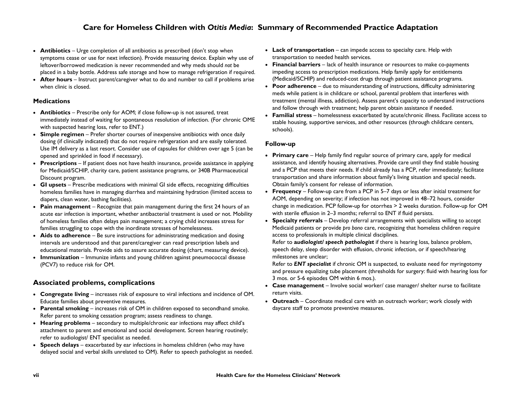#### **Care for Homeless Children with** *Otitis Media***: Summary of Recommended Practice Adaptation**

- **Antibiotics** Urge completion of all antibiotics as prescribed (don't stop when symptoms cease or use for next infection). Provide measuring device. Explain why use of leftover/borrowed medication is never recommended and why meds should *not* be placed in a baby bottle. Address safe storage and how to manage refrigeration if required.
- **After hours** Instruct parent/caregiver what to do and number to call if problems arise when clinic is closed.

#### **Medications**

- **Antibiotics** Prescribe only for AOM; if close follow-up is not assured, treat immediately instead of waiting for spontaneous resolution of infection. (For chronic OME with suspected hearing loss, refer to ENT.)
- **Simple regimen** Prefer shorter courses of inexpensive antibiotics with once daily dosing (if clinically indicated) that do not require refrigeration and are easily tolerated. Use IM delivery as a last resort. Consider use of capsules for children over age 5 (can be opened and sprinkled in food if necessary).
- **Prescriptions** If patient does not have health insurance, provide assistance in applying for Medicaid/SCHIP, charity care, patient assistance programs, or 340B Pharmaceutical Discount program.
- **GI upsets** Prescribe medications with minimal GI side effects, recognizing difficulties homeless families have in managing diarrhea and maintaining hydration (limited access to diapers, clean water, bathing facilities).
- **Pain management** Recognize that pain management during the first 24 hours of an acute ear infection is important, whether antibacterial treatment is used or not. Mobility of homeless families often delays pain management; a crying child increases stress for families struggling to cope with the inordinate stresses of homelessness.
- **Aids to adherence** Be sure instructions for administrating medication and dosing intervals are understood and that parent/caregiver can read prescription labels and educational materials. Provide aids to assure accurate dosing (chart, measuring device).
- **Immunization** Immunize infants and young children against pneumococcal disease (PCV7) to reduce risk for OM.

#### **Associated problems, complications**

- **Congregate living** increases risk of exposure to viral infections and incidence of OM. Educate families about preventive measures.
- **Parental smoking** increases risk of OM in children exposed to secondhand smoke. Refer parent to smoking cessation program; assess readiness to change.
- **Hearing problems** secondary to multiple/chronic ear infections may affect child's attachment to parent and emotional and social development. Screen hearing routinely; refer to audiologist/ ENT specialist as needed.
- **Speech delays** exacerbated by ear infections in homeless children (who may have delayed social and verbal skills unrelated to OM). Refer to speech pathologist as needed.
- **Lack of transportation** can impede access to specialty care. Help with transportation to needed health services.
- **Financial barriers**  lack of health insurance or resources to make co-payments impeding access to prescription medications. Help family apply for entitlements (Medicaid/SCHIP) and reduced-cost drugs through patient assistance programs.
- **Poor adherence** due to misunderstanding of instructions, difficulty administering meds while patient is in childcare or school, parental problem that interferes with treatment (mental illness, addiction). Assess parent's capacity to understand instructions and follow through with treatment; help parent obtain assistance if needed.
- **Familial stress** homelessness exacerbated by acute/chronic illness. Facilitate access to stable housing, supportive services, and other resources (through childcare centers, schools).

#### **Follow-up**

- **Primary care**  Help family find regular source of primary care, apply for medical assistance, and identify housing alternatives. Provide care until they find stable housing and a PCP that meets their needs. If child already has a PCP, refer immediately; facilitate transportation and share information about family's living situation and special needs. Obtain family's consent for release of information.
- **Frequency** Follow-up care from a PCP in 5–7 days or less after initial treatment for AOM, depending on severity; if infection has not improved in 48–72 hours, consider change in medication. PCP follow-up for otorrhea > 2 weeks duration. Follow-up for OM with sterile effusion in 2–3 months; referral to ENT if fluid persists.
- **Specialty referrals** Develop referral arrangements with specialists willing to accept Medicaid patients or provide *pro bono* care, recognizing that homeless children require access to professionals in multiple clinical disciplines.

Refer to **a***udiologist/ speech pathologist* if there is hearing loss, balance problem, speech delay, sleep disorder with effusion, chronic infection, or if speech/hearing milestones are unclear;

Refer to *ENT specialist* if chronic OM is suspected, to evaluate need for myringotomy and pressure equalizing tube placement (thresholds for surgery: fluid with hearing loss for 3 mos. or 5-6 episodes OM within 6 mos.).

- **Case management**  Involve social worker/ case manager/ shelter nurse to facilitate return visits.
- **Outreach**  Coordinate medical care with an outreach worker; work closely with daycare staff to promote preventive measures.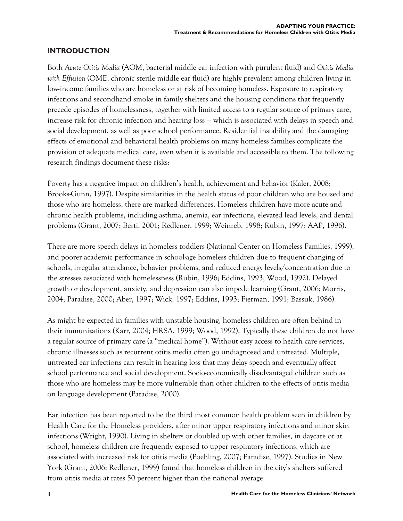#### **INTRODUCTION**

Both *Acute Otitis Media* (AOM, bacterial middle ear infection with purulent fluid) and *Otitis Media with Effusion* (OME, chronic sterile middle ear fluid) are highly prevalent among children living in low-income families who are homeless or at risk of becoming homeless. Exposure to respiratory infections and secondhand smoke in family shelters and the housing conditions that frequently precede episodes of homelessness, together with limited access to a regular source of primary care, increase risk for chronic infection and hearing loss — which is associated with delays in speech and social development, as well as poor school performance. Residential instability and the damaging effects of emotional and behavioral health problems on many homeless families complicate the provision of adequate medical care, even when it is available and accessible to them. The following research findings document these risks:

Poverty has a negative impact on children's health, achievement and behavior (Kaler, 2008; Brooks-Gunn, 1997). Despite similarities in the health status of poor children who are housed and those who are homeless, there are marked differences. Homeless children have more acute and chronic health problems, including asthma, anemia, ear infections, elevated lead levels, and dental problems (Grant, 2007; Berti, 2001; Redlener, 1999; Weinreb, 1998; Rubin, 1997; AAP, 1996).

There are more speech delays in homeless toddlers (National Center on Homeless Families, 1999), and poorer academic performance in school-age homeless children due to frequent changing of schools, irregular attendance, behavior problems, and reduced energy levels/concentration due to the stresses associated with homelessness (Rubin, 1996; Eddins, 1993; Wood, 1992). Delayed growth or development, anxiety, and depression can also impede learning (Grant, 2006; Morris, 2004; Paradise, 2000; Aber, 1997; Wick, 1997; Eddins, 1993; Fierman, 1991; Bassuk, 1986).

As might be expected in families with unstable housing, homeless children are often behind in their immunizations (Karr, 2004; HRSA, 1999; Wood, 1992). Typically these children do not have a regular source of primary care (a "medical home"). Without easy access to health care services, chronic illnesses such as recurrent otitis media often go undiagnosed and untreated. Multiple, untreated ear infections can result in hearing loss that may delay speech and eventually affect school performance and social development. Socio-economically disadvantaged children such as those who are homeless may be more vulnerable than other children to the effects of otitis media on language development (Paradise, 2000).

Ear infection has been reported to be the third most common health problem seen in children by Health Care for the Homeless providers, after minor upper respiratory infections and minor skin infections (Wright, 1990). Living in shelters or doubled up with other families, in daycare or at school, homeless children are frequently exposed to upper respiratory infections, which are associated with increased risk for otitis media (Poehling, 2007; Paradise, 1997). Studies in New York (Grant, 2006; Redlener, 1999) found that homeless children in the city's shelters suffered from otitis media at rates 50 percent higher than the national average.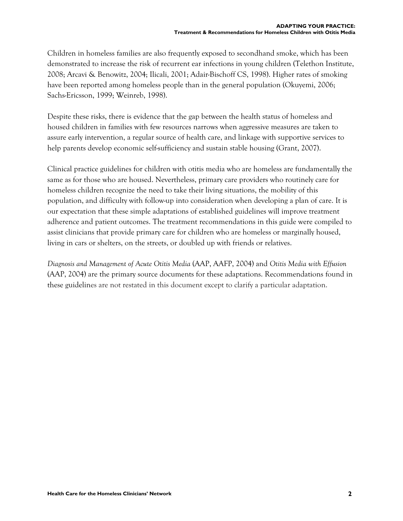Children in homeless families are also frequently exposed to secondhand smoke, which has been demonstrated to increase the risk of recurrent ear infections in young children (Telethon Institute, 2008; Arcavi & Benowitz, 2004; Ilicali, 2001; Adair-Bischoff CS, 1998). Higher rates of smoking have been reported among homeless people than in the general population (Okuyemi, 2006; Sachs-Ericsson, 1999; Weinreb, 1998).

Despite these risks, there is evidence that the gap between the health status of homeless and housed children in families with few resources narrows when aggressive measures are taken to assure early intervention, a regular source of health care, and linkage with supportive services to help parents develop economic self-sufficiency and sustain stable housing (Grant, 2007).

Clinical practice guidelines for children with otitis media who are homeless are fundamentally the same as for those who are housed. Nevertheless, primary care providers who routinely care for homeless children recognize the need to take their living situations, the mobility of this population, and difficulty with follow-up into consideration when developing a plan of care. It is our expectation that these simple adaptations of established guidelines will improve treatment adherence and patient outcomes. The treatment recommendations in this guide were compiled to assist clinicians that provide primary care for children who are homeless or marginally housed, living in cars or shelters, on the streets, or doubled up with friends or relatives.

*Diagnosis and Management of Acute Otitis Media* (AAP, AAFP, 2004) and *Otitis Media with Effusion* (AAP, 2004) are the primary source documents for these adaptations. Recommendations found in these guidelines are not restated in this document except to clarify a particular adaptation.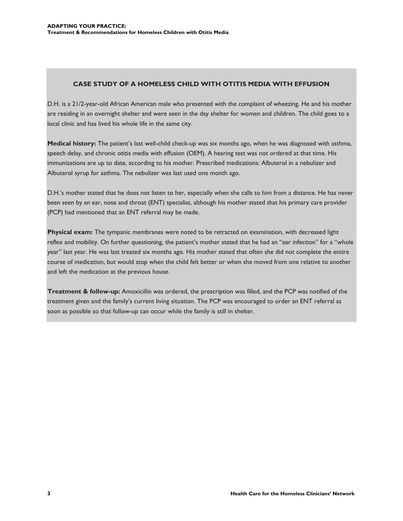#### **CASE STUDY OF A HOMELESS CHILD WITH OTITIS MEDIA WITH EFFUSION**

D.H. is a 21/2-year-old African American male who presented with the complaint of wheezing. He and his mother are residing in an overnight shelter and were seen in the day shelter for women and children. The child goes to a local clinic and has lived his whole life in the same city.

**Medical history:** The patient's last well-child check-up was six months ago, when he was diagnosed with asthma, speech delay, and chronic otitis media with effusion (OEM). A hearing test was not ordered at that time. His immunizations are up to date, according to his mother. Prescribed medications: Albuterol in a nebulizer and Albuterol syrup for asthma. The nebulizer was last used one month ago.

D.H.'s mother stated that he does not listen to her, especially when she calls to him from a distance. He has never been seen by an ear, nose and throat (ENT) specialist, although his mother stated that his primary care provider (PCP) had mentioned that an ENT referral may be made.

**Physical exam:** The tympanic membranes were noted to be retracted on examination, with decreased light reflex and mobility. On further questioning, the patient's mother stated that he had an "ear infection" for a "whole year" last year. He was last treated six months ago. His mother stated that often she did not complete the entire course of medication, but would stop when the child felt better or when she moved from one relative to another and left the medication at the previous house.

**Treatment & follow-up:** Amoxicillin was ordered, the prescription was filled, and the PCP was notified of the treatment given and the family's current living situation. The PCP was encouraged to order an ENT referral as soon as possible so that follow-up can occur while the family is still in shelter.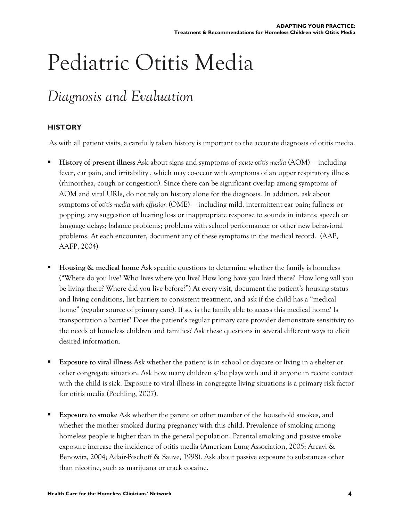## Pediatric Otitis Media

## *Diagnosis and Evaluation*

#### **HISTORY**

As with all patient visits, a carefully taken history is important to the accurate diagnosis of otitis media.

- **History of present illness** Ask about signs and symptoms of *acute otitis media* (AOM) including fever, ear pain, and irritability , which may co-occur with symptoms of an upper respiratory illness (rhinorrhea, cough or congestion). Since there can be significant overlap among symptoms of AOM and viral URIs, do not rely on history alone for the diagnosis. In addition, ask about symptoms of *otitis media with effusion* (OME) — including mild, intermittent ear pain; fullness or popping; any suggestion of hearing loss or inappropriate response to sounds in infants; speech or language delays; balance problems; problems with school performance; or other new behavioral problems. At each encounter, document any of these symptoms in the medical record. (AAP, AAFP, 2004)
- **Housing & medical home** Ask specific questions to determine whether the family is homeless ("Where do you live? Who lives where you live? How long have you lived there? How long will you be living there? Where did you live before?") At every visit, document the patient's housing status and living conditions, list barriers to consistent treatment, and ask if the child has a "medical home" (regular source of primary care). If so, is the family able to access this medical home? Is transportation a barrier? Does the patient's regular primary care provider demonstrate sensitivity to the needs of homeless children and families? Ask these questions in several different ways to elicit desired information.
- **Exposure to viral illness** Ask whether the patient is in school or daycare or living in a shelter or other congregate situation. Ask how many children s/he plays with and if anyone in recent contact with the child is sick. Exposure to viral illness in congregate living situations is a primary risk factor for otitis media (Poehling, 2007).
- **Exposure to smoke** Ask whether the parent or other member of the household smokes, and whether the mother smoked during pregnancy with this child. Prevalence of smoking among homeless people is higher than in the general population. Parental smoking and passive smoke exposure increase the incidence of otitis media (American Lung Association, 2005; Arcavi & Benowitz, 2004; Adair-Bischoff & Sauve, 1998). Ask about passive exposure to substances other than nicotine, such as marijuana or crack cocaine.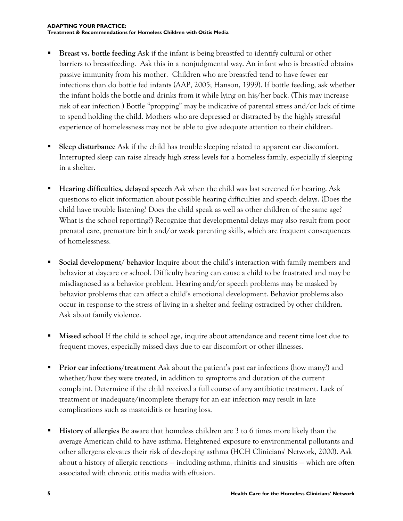- **Breast vs. bottle feeding** Ask if the infant is being breastfed to identify cultural or other barriers to breastfeeding. Ask this in a nonjudgmental way. An infant who is breastfed obtains passive immunity from his mother. Children who are breastfed tend to have fewer ear infections than do bottle fed infants (AAP, 2005; Hanson, 1999). If bottle feeding, ask whether the infant holds the bottle and drinks from it while lying on his/her back. (This may increase risk of ear infection.) Bottle "propping" may be indicative of parental stress and/or lack of time to spend holding the child. Mothers who are depressed or distracted by the highly stressful experience of homelessness may not be able to give adequate attention to their children.
- **Sleep disturbance** Ask if the child has trouble sleeping related to apparent ear discomfort. Interrupted sleep can raise already high stress levels for a homeless family, especially if sleeping in a shelter.
- **Hearing difficulties, delayed speech** Ask when the child was last screened for hearing. Ask questions to elicit information about possible hearing difficulties and speech delays. (Does the child have trouble listening? Does the child speak as well as other children of the same age? What is the school reporting?) Recognize that developmental delays may also result from poor prenatal care, premature birth and/or weak parenting skills, which are frequent consequences of homelessness.
- **Social development/ behavior** Inquire about the child's interaction with family members and behavior at daycare or school. Difficulty hearing can cause a child to be frustrated and may be misdiagnosed as a behavior problem. Hearing and/or speech problems may be masked by behavior problems that can affect a child's emotional development. Behavior problems also occur in response to the stress of living in a shelter and feeling ostracized by other children. Ask about family violence.
- **Missed school** If the child is school age, inquire about attendance and recent time lost due to frequent moves, especially missed days due to ear discomfort or other illnesses.
- **Prior ear infections/treatment** Ask about the patient's past ear infections (how many?) and whether/how they were treated, in addition to symptoms and duration of the current complaint. Determine if the child received a full course of any antibiotic treatment. Lack of treatment or inadequate/incomplete therapy for an ear infection may result in late complications such as mastoiditis or hearing loss.
- **History of allergies** Be aware that homeless children are 3 to 6 times more likely than the average American child to have asthma. Heightened exposure to environmental pollutants and other allergens elevates their risk of developing asthma (HCH Clinicians' Network, 2000). Ask about a history of allergic reactions — including asthma, rhinitis and sinusitis — which are often associated with chronic otitis media with effusion.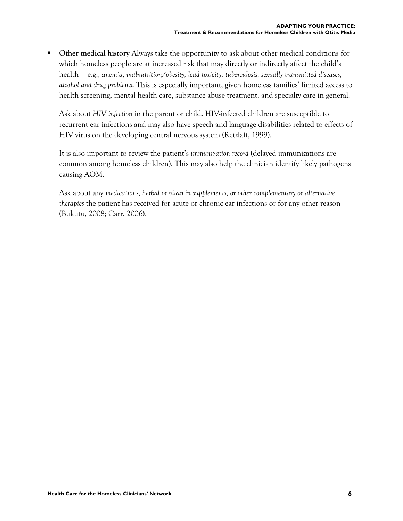**Other medical history** Always take the opportunity to ask about other medical conditions for which homeless people are at increased risk that may directly or indirectly affect the child's health — e.g., *anemia, malnutrition/obesity, lead toxicity, tuberculosis, sexually transmitted diseases, alcohol and drug problems*. This is especially important, given homeless families' limited access to health screening, mental health care, substance abuse treatment, and specialty care in general.

Ask about *HIV infection* in the parent or child. HIV-infected children are susceptible to recurrent ear infections and may also have speech and language disabilities related to effects of HIV virus on the developing central nervous system (Retzlaff, 1999).

It is also important to review the patient's *immunization record* (delayed immunizations are common among homeless children). This may also help the clinician identify likely pathogens causing AOM.

Ask about any *medications, herbal or vitamin supplements, or other complementary or alternative therapies* the patient has received for acute or chronic ear infections or for any other reason (Bukutu, 2008; Carr, 2006).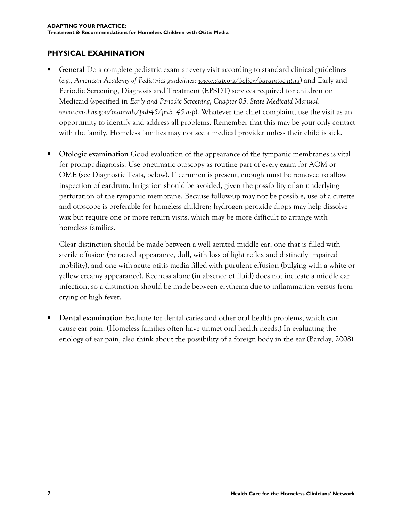#### **PHYSICAL EXAMINATION**

- **General** Do a complete pediatric exam at every visit according to standard clinical guidelines (*e.g., American Academy of Pediatrics guidelines: [www.aap.org/policy/paramtoc.html](http://www.aap.org/policy/paramtoc.html)*) and Early and Periodic Screening, Diagnosis and Treatment (EPSDT) services required for children on Medicaid (specified in *Early and Periodic Screening, Chapter 05, State Medicaid Manual: [www.cms.hhs.gov/manuals/pub45/pub\\_45.asp](http://www.cms.hhs.gov/manuals/pub45/pub_45.asp)*). Whatever the chief complaint, use the visit as an opportunity to identify and address all problems. Remember that this may be your only contact with the family. Homeless families may not see a medical provider unless their child is sick.
- **Otologic examination** Good evaluation of the appearance of the tympanic membranes is vital for prompt diagnosis. Use pneumatic otoscopy as routine part of every exam for AOM or OME (see Diagnostic Tests, below). If cerumen is present, enough must be removed to allow inspection of eardrum. Irrigation should be avoided, given the possibility of an underlying perforation of the tympanic membrane. Because follow-up may not be possible, use of a curette and otoscope is preferable for homeless children; hydrogen peroxide drops may help dissolve wax but require one or more return visits, which may be more difficult to arrange with homeless families.

Clear distinction should be made between a well aerated middle ear, one that is filled with sterile effusion (retracted appearance, dull, with loss of light reflex and distinctly impaired mobility), and one with acute otitis media filled with purulent effusion (bulging with a white or yellow creamy appearance). Redness alone (in absence of fluid) does not indicate a middle ear infection, so a distinction should be made between erythema due to inflammation versus from crying or high fever.

 **Dental examination** Evaluate for dental caries and other oral health problems, which can cause ear pain. (Homeless families often have unmet oral health needs.) In evaluating the etiology of ear pain, also think about the possibility of a foreign body in the ear (Barclay, 2008).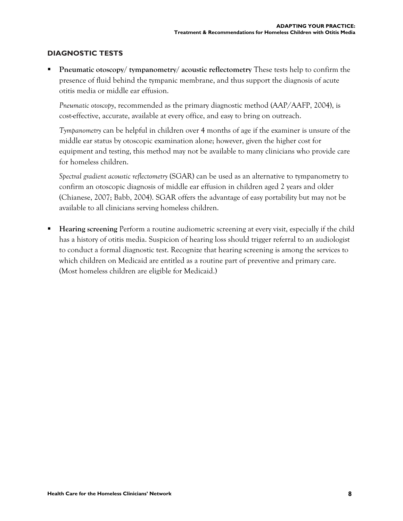#### **DIAGNOSTIC TESTS**

 **Pneumatic otoscopy/ tympanometry/ acoustic reflectometry** These tests help to confirm the presence of fluid behind the tympanic membrane, and thus support the diagnosis of acute otitis media or middle ear effusion.

*Pneumatic otoscopy*, recommended as the primary diagnostic method (AAP/AAFP, 2004), is cost-effective, accurate, available at every office, and easy to bring on outreach.

*Tympanometry* can be helpful in children over 4 months of age if the examiner is unsure of the middle ear status by otoscopic examination alone; however, given the higher cost for equipment and testing, this method may not be available to many clinicians who provide care for homeless children.

*Spectral gradient acoustic reflectometry* (SGAR) can be used as an alternative to tympanometry to confirm an otoscopic diagnosis of middle ear effusion in children aged 2 years and older (Chianese, 2007; Babb, 2004). SGAR offers the advantage of easy portability but may not be available to all clinicians serving homeless children.

 **Hearing screening** Perform a routine audiometric screening at every visit, especially if the child has a history of otitis media. Suspicion of hearing loss should trigger referral to an audiologist to conduct a formal diagnostic test. Recognize that hearing screening is among the services to which children on Medicaid are entitled as a routine part of preventive and primary care. (Most homeless children are eligible for Medicaid.)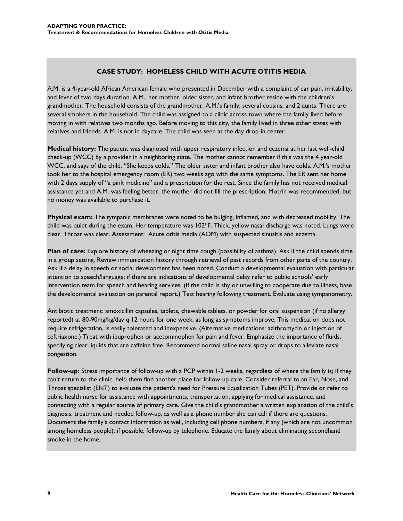#### **CASE STUDY: HOMELESS CHILD WITH ACUTE OTITIS MEDIA**

A.M. is a 4-year-old African American female who presented in December with a complaint of ear pain, irritability, and fever of two days duration. A.M., her mother, older sister, and infant brother reside with the children's grandmother. The household consists of the grandmother, A.M.'s family, several cousins, and 2 aunts. There are several smokers in the household. The child was assigned to a clinic across town where the family lived before moving in with relatives two months ago. Before moving to this city, the family lived in three other states with relatives and friends. A.M. is not in daycare. The child was seen at the day drop-in center.

**Medical history:** The patient was diagnosed with upper respiratory infection and eczema at her last well-child check-up (WCC) by a provider in a neighboring state. The mother cannot remember if this was the 4 year-old WCC, and says of the child, "She keeps colds." The older sister and infant brother also have colds. A.M.'s mother took her to the hospital emergency room (ER) two weeks ago with the same symptoms. The ER sent her home with 2 days supply of "a pink medicine" and a prescription for the rest. Since the family has not received medical assistance yet and A.M. was feeling better, the mother did not fill the prescription. Motrin was recommended, but no money was available to purchase it.

**Physical exam:** The tympanic membranes were noted to be bulging, inflamed, and with decreased mobility. The child was quiet during the exam. Her temperature was 102°F. Thick, yellow nasal discharge was noted. Lungs were clear. Throat was clear. Assessment: Acute otitis media (AOM) with suspected sinusitis and eczema.

**Plan of care:** Explore history of wheezing or night time cough (possibility of asthma). Ask if the child spends time in a group setting. Review immunization history through retrieval of past records from other parts of the country. Ask if a delay in speech or social development has been noted. Conduct a developmental evaluation with particular attention to speech/language; if there are indications of developmental delay refer to public schools' early intervention team for speech and hearing services. (If the child is shy or unwilling to cooperate due to illness, base the developmental evaluation on parental report.) Test hearing following treatment. Evaluate using tympanometry.

Antibiotic treatment: amoxicillin capsules, tablets, chewable tablets, or powder for oral suspension (if no allergy reported) at 80-90mg/kg/day q 12 hours for one week, as long as symptoms improve. This medication does not require refrigeration, is easily tolerated and inexpensive. (Alternative medications: azithromycin or injection of ceftriaxone.) Treat with ibuprophen or acetominophen for pain and fever. Emphasize the importance of fluids, specifying clear liquids that are caffeine free. Recommend normal saline nasal spray or drops to alleviate nasal congestion.

**Follow-up:** Stress importance of follow-up with a PCP within 1-2 weeks, regardless of where the family is; if they can't return to the clinic, help them find another place for follow-up care. Consider referral to an Ear, Nose, and Throat specialist (ENT) to evaluate the patient's need for Pressure Equalization Tubes (PET). Provide or refer to public health nurse for assistance with appointments, transportation, applying for medical assistance, and connecting with a regular source of primary care. Give the child's grandmother a written explanation of the child's diagnosis, treatment and needed follow-up, as well as a phone number she can call if there are questions. Document the family's contact information as well, including cell phone numbers, if any (which are not uncommon among homeless people); if possible, follow-up by telephone. Educate the family about eliminating secondhand smoke in the home.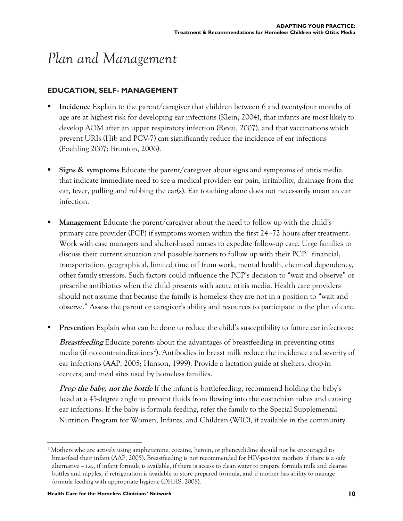## *Plan and Management*

#### **EDUCATION, SELF- MANAGEMENT**

- **Incidence** Explain to the parent/caregiver that children between 6 and twenty-four months of age are at highest risk for developing ear infections (Klein, 2004), that infants are most likely to develop AOM after an upper respiratory infection (Revai, 2007), and that vaccinations which prevent URIs (Hib and PCV-7) can significantly reduce the incidence of ear infections (Poehling 2007; Brunton, 2006).
- **Signs & symptoms** Educate the parent/caregiver about signs and symptoms of otitis media that indicate immediate need to see a medical provider: ear pain, irritability, drainage from the ear, fever, pulling and rubbing the ear(s). Ear touching alone does not necessarily mean an ear infection.
- **Management** Educate the parent/caregiver about the need to follow up with the child's primary care provider (PCP) if symptoms worsen within the first 24–72 hours after treatment. Work with case managers and shelter-based nurses to expedite follow-up care. Urge families to discuss their current situation and possible barriers to follow up with their PCP: financial, transportation, geographical, limited time off from work, mental health, chemical dependency, other family stressors. Such factors could influence the PCP's decision to "wait and observe" or prescribe antibiotics when the child presents with acute otitis media. Health care providers should not assume that because the family is homeless they are not in a position to "wait and observe." Assess the parent or caregiver's ability and resources to participate in the plan of care.
- **Prevention** Explain what can be done to reduce the child's susceptibility to future ear infections:

**Breastfeeding** Educate parents about the advantages of breastfeeding in preventing otitis media (if no contraindications<sup>2</sup>). Antibodies in breast milk reduce the incidence and severity of ear infections (AAP, 2005; Hanson, 1999). Provide a lactation guide at shelters, drop-in centers, and meal sites used by homeless families.

**Prop the baby, not the bottle** If the infant is bottlefeeding, recommend holding the baby's head at a 45-degree angle to prevent fluids from flowing into the eustachian tubes and causing ear infections. If the baby is formula feeding, refer the family to the Special Supplemental Nutrition Program for Women, Infants, and Children (WIC), if available in the community.

 $\overline{a}$  $2$  Mothers who are actively using amphetamine, cocaine, heroin, or phencyclidine should not be encouraged to breastfeed their infant (AAP, 2005). Breastfeeding is not recommended for HIV-positive mothers if there is a safe alternative – i.e., if infant formula is available, if there is access to clean water to prepare formula milk and cleanse bottles and nipples, if refrigeration is available to store prepared formula, and if mother has ability to manage formula feeding with appropriate hygiene (DHHS, 2008).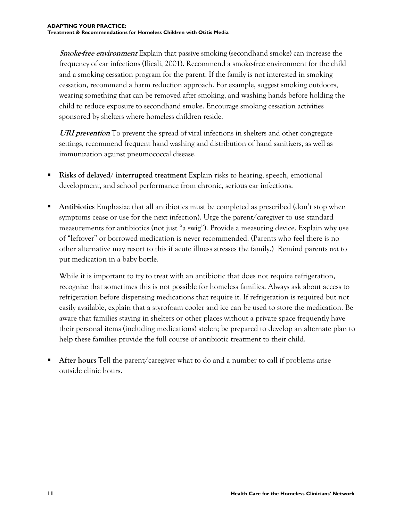**Smoke-free environment** Explain that passive smoking (secondhand smoke) can increase the frequency of ear infections (Ilicali, 2001). Recommend a smoke-free environment for the child and a smoking cessation program for the parent. If the family is not interested in smoking cessation, recommend a harm reduction approach. For example, suggest smoking outdoors, wearing something that can be removed after smoking, and washing hands before holding the child to reduce exposure to secondhand smoke. Encourage smoking cessation activities sponsored by shelters where homeless children reside.

**URI prevention** To prevent the spread of viral infections in shelters and other congregate settings, recommend frequent hand washing and distribution of hand sanitizers, as well as immunization against pneumococcal disease.

- **Risks of delayed/ interrupted treatment** Explain risks to hearing, speech, emotional development, and school performance from chronic, serious ear infections.
- **Antibiotics** Emphasize that all antibiotics must be completed as prescribed (don't stop when symptoms cease or use for the next infection). Urge the parent/caregiver to use standard measurements for antibiotics (not just "a swig"). Provide a measuring device. Explain why use of "leftover" or borrowed medication is never recommended. (Parents who feel there is no other alternative may resort to this if acute illness stresses the family.) Remind parents *not* to put medication in a baby bottle.

While it is important to try to treat with an antibiotic that does not require refrigeration, recognize that sometimes this is not possible for homeless families. Always ask about access to refrigeration before dispensing medications that require it. If refrigeration is required but not easily available, explain that a styrofoam cooler and ice can be used to store the medication. Be aware that families staying in shelters or other places without a private space frequently have their personal items (including medications) stolen; be prepared to develop an alternate plan to help these families provide the full course of antibiotic treatment to their child.

 **After hours** Tell the parent/caregiver what to do and a number to call if problems arise outside clinic hours.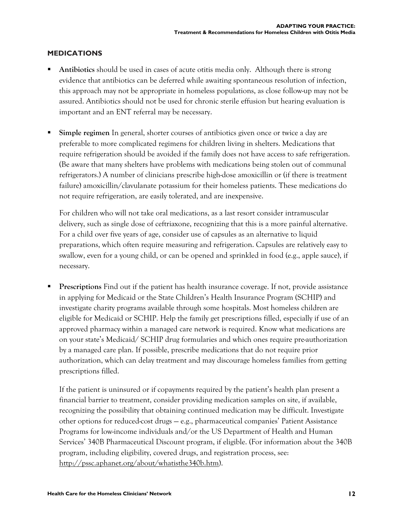#### **MEDICATIONS**

- **Antibiotics** should be used in cases of acute otitis media only. Although there is strong evidence that antibiotics can be deferred while awaiting spontaneous resolution of infection, this approach may not be appropriate in homeless populations, as close follow-up may not be assured. Antibiotics should not be used for chronic sterile effusion but hearing evaluation is important and an ENT referral may be necessary.
- **Simple regimen** In general, shorter courses of antibiotics given once or twice a day are preferable to more complicated regimens for children living in shelters. Medications that require refrigeration should be avoided if the family does not have access to safe refrigeration. (Be aware that many shelters have problems with medications being stolen out of communal refrigerators.) A number of clinicians prescribe high-dose amoxicillin or (if there is treatment failure) amoxicillin/clavulanate potassium for their homeless patients. These medications do not require refrigeration, are easily tolerated, and are inexpensive.

For children who will not take oral medications, as a last resort consider intramuscular delivery, such as single dose of ceftriaxone, recognizing that this is a more painful alternative. For a child over five years of age, consider use of capsules as an alternative to liquid preparations, which often require measuring and refrigeration. Capsules are relatively easy to swallow, even for a young child, or can be opened and sprinkled in food (e.g., apple sauce), if necessary.

 **Prescriptions** Find out if the patient has health insurance coverage. If not, provide assistance in applying for Medicaid or the State Children's Health Insurance Program (SCHIP) and investigate charity programs available through some hospitals. Most homeless children are eligible for Medicaid or SCHIP. Help the family get prescriptions filled, especially if use of an approved pharmacy within a managed care network is required. Know what medications are on your state's Medicaid/ SCHIP drug formularies and which ones require pre-authorization by a managed care plan. If possible, prescribe medications that do not require prior authorization, which can delay treatment and may discourage homeless families from getting prescriptions filled.

If the patient is uninsured or if copayments required by the patient's health plan present a financial barrier to treatment, consider providing medication samples on site, if available, recognizing the possibility that obtaining continued medication may be difficult. Investigate other options for reduced-cost drugs — e.g., pharmaceutical companies' Patient Assistance Programs for low-income individuals and/or the US Department of Health and Human Services' 340B Pharmaceutical Discount program, if eligible. (For information about the 340B program, including eligibility, covered drugs, and registration process, see: <http://pssc.aphanet.org/about/whatisthe340b.htm>).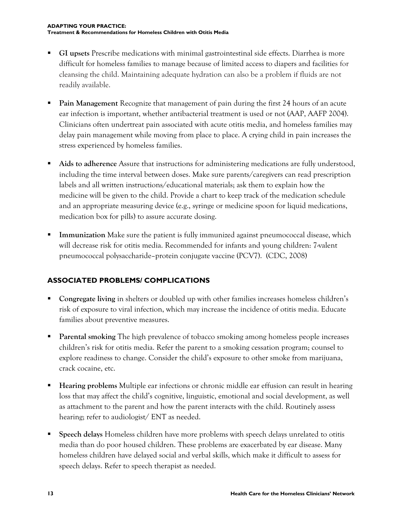- **GI upsets** Prescribe medications with minimal gastrointestinal side effects. Diarrhea is more difficult for homeless families to manage because of limited access to diapers and facilities for cleansing the child. Maintaining adequate hydration can also be a problem if fluids are not readily available.
- **Pain Management** Recognize that management of pain during the first 24 hours of an acute ear infection is important, whether antibacterial treatment is used or not (AAP, AAFP 2004). Clinicians often undertreat pain associated with acute otitis media, and homeless families may delay pain management while moving from place to place. A crying child in pain increases the stress experienced by homeless families.
- **Aids to adherence** Assure that instructions for administering medications are fully understood, including the time interval between doses. Make sure parents/caregivers can read prescription labels and all written instructions/educational materials; ask them to explain how the medicine will be given to the child. Provide a chart to keep track of the medication schedule and an appropriate measuring device (e.g., syringe or medicine spoon for liquid medications, medication box for pills) to assure accurate dosing.
- **Immunization** Make sure the patient is fully immunized against pneumococcal disease, which will decrease risk for otitis media. Recommended for infants and young children: 7-valent pneumococcal polysaccharide–protein conjugate vaccine (PCV7). (CDC, 2008)

#### **ASSOCIATED PROBLEMS/ COMPLICATIONS**

- **Congregate living** in shelters or doubled up with other families increases homeless children's risk of exposure to viral infection, which may increase the incidence of otitis media. Educate families about preventive measures.
- **Parental smoking** The high prevalence of tobacco smoking among homeless people increases children's risk for otitis media. Refer the parent to a smoking cessation program; counsel to explore readiness to change. Consider the child's exposure to other smoke from marijuana, crack cocaine, etc.
- **Hearing problems** Multiple ear infections or chronic middle ear effusion can result in hearing loss that may affect the child's cognitive, linguistic, emotional and social development, as well as attachment to the parent and how the parent interacts with the child. Routinely assess hearing; refer to audiologist/ ENT as needed.
- **Speech delays** Homeless children have more problems with speech delays unrelated to otitis media than do poor housed children. These problems are exacerbated by ear disease. Many homeless children have delayed social and verbal skills, which make it difficult to assess for speech delays. Refer to speech therapist as needed.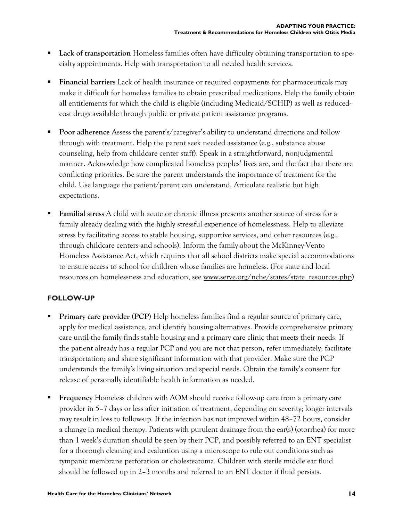- **Lack of transportation** Homeless families often have difficulty obtaining transportation to specialty appointments. Help with transportation to all needed health services.
- **Financial barriers** Lack of health insurance or required copayments for pharmaceuticals may make it difficult for homeless families to obtain prescribed medications. Help the family obtain all entitlements for which the child is eligible (including Medicaid/SCHIP) as well as reducedcost drugs available through public or private patient assistance programs.
- **Poor adherence** Assess the parent's/caregiver's ability to understand directions and follow through with treatment. Help the parent seek needed assistance (e.g., substance abuse counseling, help from childcare center staff). Speak in a straightforward, nonjudgmental manner. Acknowledge how complicated homeless peoples' lives are, and the fact that there are conflicting priorities. Be sure the parent understands the importance of treatment for the child. Use language the patient/parent can understand. Articulate realistic but high expectations.
- **Familial stress** A child with acute or chronic illness presents another source of stress for a family already dealing with the highly stressful experience of homelessness. Help to alleviate stress by facilitating access to stable housing, supportive services, and other resources (e.g., through childcare centers and schools). Inform the family about the McKinney-Vento Homeless Assistance Act, which requires that all school districts make special accommodations to ensure access to school for children whose families are homeless. (For state and local resources on homelessness and education, see [www.serve.org/nche/states/state\\_resources.php\)](http://www.serve.org/nche/states/state_resources.php)

#### **FOLLOW-UP**

- **Primary care provider (PCP)** Help homeless families find a regular source of primary care, apply for medical assistance, and identify housing alternatives. Provide comprehensive primary care until the family finds stable housing and a primary care clinic that meets their needs. If the patient already has a regular PCP and you are not that person, refer immediately; facilitate transportation; and share significant information with that provider. Make sure the PCP understands the family's living situation and special needs. Obtain the family's consent for release of personally identifiable health information as needed.
- **Frequency** Homeless children with AOM should receive follow-up care from a primary care provider in 5–7 days or less after initiation of treatment, depending on severity; longer intervals may result in loss to follow-up. If the infection has not improved within 48–72 hours, consider a change in medical therapy. Patients with purulent drainage from the ear(s) (otorrhea) for more than 1 week's duration should be seen by their PCP, and possibly referred to an ENT specialist for a thorough cleaning and evaluation using a microscope to rule out conditions such as tympanic membrane perforation or cholesteatoma. Children with sterile middle ear fluid should be followed up in 2–3 months and referred to an ENT doctor if fluid persists.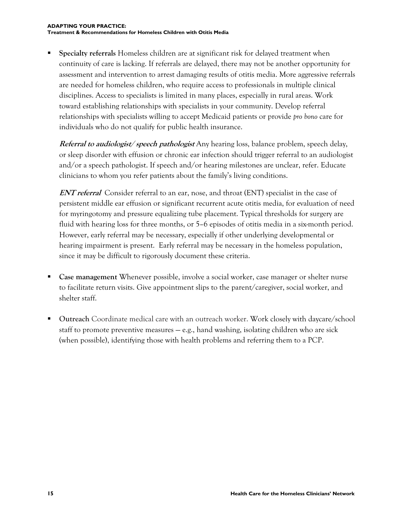**Specialty referrals** Homeless children are at significant risk for delayed treatment when continuity of care is lacking. If referrals are delayed, there may not be another opportunity for assessment and intervention to arrest damaging results of otitis media. More aggressive referrals are needed for homeless children, who require access to professionals in multiple clinical disciplines. Access to specialists is limited in many places, especially in rural areas. Work toward establishing relationships with specialists in your community. Develop referral relationships with specialists willing to accept Medicaid patients or provide *pro bono* care for individuals who do not qualify for public health insurance.

**Referral to audiologist/ speech pathologist** Any hearing loss, balance problem, speech delay, or sleep disorder with effusion or chronic ear infection should trigger referral to an audiologist and/or a speech pathologist. If speech and/or hearing milestones are unclear, refer. Educate clinicians to whom you refer patients about the family's living conditions.

**ENT referral** Consider referral to an ear, nose, and throat (ENT) specialist in the case of persistent middle ear effusion or significant recurrent acute otitis media, for evaluation of need for myringotomy and pressure equalizing tube placement. Typical thresholds for surgery are fluid with hearing loss for three months, or 5–6 episodes of otitis media in a six-month period. However, early referral may be necessary, especially if other underlying developmental or hearing impairment is present. Early referral may be necessary in the homeless population, since it may be difficult to rigorously document these criteria.

- **Case management** Whenever possible, involve a social worker, case manager or shelter nurse to facilitate return visits. Give appointment slips to the parent/caregiver, social worker, and shelter staff.
- **Outreach** Coordinate medical care with an outreach worker. Work closely with daycare/school staff to promote preventive measures — e.g., hand washing, isolating children who are sick (when possible), identifying those with health problems and referring them to a PCP.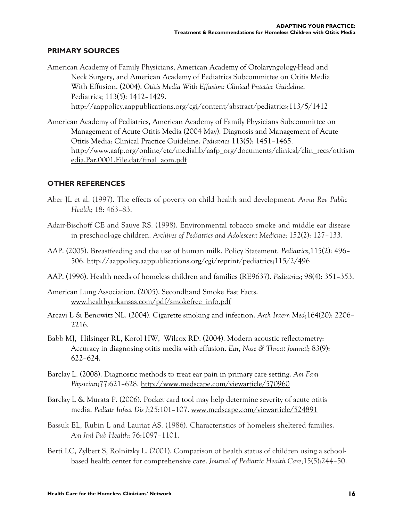#### **PRIMARY SOURCES**

- American Academy of Family Physicians, American Academy of Otolaryngology-Head and Neck Surgery, and American Academy of Pediatrics Subcommittee on Otitis Media With Effusion. (2004). *Otitis Media With Effusion: Clinical Practice Guideline*. Pediatrics; 113(5): 1412–1429. <http://aappolicy.aappublications.org/cgi/content/abstract/pediatrics;113/5/1412>
- American Academy of Pediatrics, American Academy of Family Physicians Subcommittee on Management of Acute Otitis Media (2004 May). Diagnosis and Management of Acute Otitis Media: Clinical Practice Guideline. *Pediatrics* 113(5): 1451–1465. [http://www.aafp.org/online/etc/medialib/aafp\\_org/documents/clinical/clin\\_recs/otitism](http://www.aafp.org/online/etc/medialib/aafp_org/documents/clinical/clin_recs/otitism) edia.Par.0001.File.dat/final\_aom.pdf

#### **OTHER REFERENCES**

- Aber JL et al. (1997). The effects of poverty on child health and development. *Annu Rev Public Health*; 18: 463–83.
- Adair-Bischoff CE and Sauve RS. (1998). Environmental tobacco smoke and middle ear disease in preschool-age children. *Archives of Pediatrics and Adolescent Medicine*; 152(2): 127–133.
- AAP. (2005). Breastfeeding and the use of human milk. Policy Statement. *Pediatrics*;115(2): 496– 506. <http://aappolicy.aappublications.org/cgi/reprint/pediatrics;115/2/496>
- AAP. (1996). Health needs of homeless children and families (RE9637). *Pediatrics*; 98(4): 351–353.
- American Lung Association. (2005). Secondhand Smoke Fast Facts. www.healthyarkansas.com/pdf/smokefree\_info.pdf
- Arcavi L & Benowitz NL. (2004). Cigarette smoking and infection. *Arch Intern Med*;164(20): 2206– 2216.
- Babb MJ, Hilsinger RL, Korol HW, Wilcox RD. (2004). Modern acoustic reflectometry: Accuracy in diagnosing otitis media with effusion. *Ear, Nose & Throat Journal*; 83(9): 622–624.
- Barclay L. (2008). Diagnostic methods to treat ear pain in primary care setting. *Am Fam Physician*;77:621–628. <http://www.medscape.com/viewarticle/570960>
- Barclay L & Murata P. (2006). Pocket card tool may help determine severity of acute otitis media. *Pediatr Infect Dis J*;25:101–107. [www.medscape.com/viewarticle/524891](http://www.medscape.com/viewarticle/524891)
- Bassuk EL, Rubin L and Lauriat AS. (1986). Characteristics of homeless sheltered families. *Am Jrnl Pub Health*; 76:1097–1101.
- Berti LC, Zylbert S, Rolnitzky L. (2001). Comparison of health status of children using a schoolbased health center for comprehensive care. *Journal of Pediatric Health Care*;15(5):244–50.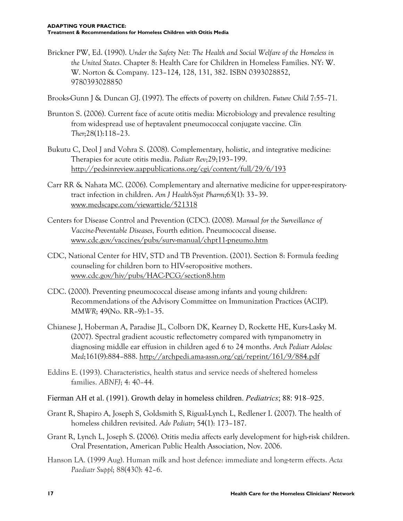Brickner PW, Ed. (1990). *Under the Safety Net: The Health and Social Welfare of the Homeless in the United States*. Chapter 8: Health Care for Children in Homeless Families. NY: W. W. Norton & Company. 123–124, 128, 131, 382. ISBN 0393028852, 9780393028850

Brooks-Gunn J & Duncan GJ. (1997). The effects of poverty on children. *Future Child* 7:55–71.

- Brunton S. (2006). Current face of acute otitis media: Microbiology and prevalence resulting from widespread use of heptavalent pneumococcal conjugate vaccine. *Clin Ther*;28(1):118–23.
- Bukutu C, Deol J and Vohra S. (2008). Complementary, holistic, and integrative medicine: Therapies for acute otitis media. *Pediatr Rev*;29;193–199. <http://pedsinreview.aappublications.org/cgi/content/full/29/6/193>
- Carr RR & Nahata MC. (2006). Complementary and alternative medicine for upper-respiratorytract infection in children. *Am J Health-Syst Pharm*;63(1): 33–39. [www.medscape.com/viewarticle/521318](http://www.medscape.com/viewarticle/521318)
- Centers for Disease Control and Prevention (CDC). (2008). *Manual for the Surveillance of Vaccine-Preventable Diseases*, Fourth edition. Pneumococcal disease. [www.cdc.gov/vaccines/pubs/surv-manual/chpt11-pneumo.htm](http://www.cdc.gov/vaccines/pubs/surv-manual/chpt11-pneumo.htm)
- CDC, National Center for HIV, STD and TB Prevention. (2001). Section 8: Formula feeding counseling for children born to HIV-seropositive mothers. [www.cdc.gov/hiv/pubs/HAC-PCG/section8.htm](http://www.cdc.gov/hiv/pubs/HAC-PCG/section8.htm)
- CDC. (2000). Preventing pneumococcal disease among infants and young children: Recommendations of the Advisory Committee on Immunization Practices (ACIP). *MMWR*; 49(No. RR–9):1–35.
- Chianese J, Hoberman A, Paradise JL, Colborn DK, Kearney D, Rockette HE, Kurs-Lasky M. (2007). Spectral gradient acoustic reflectometry compared with tympanometry in diagnosing middle ear effusion in children aged 6 to 24 months. *Arch Pediatr Adolesc Med*;161(9):884–888. <http://archpedi.ama-assn.org/cgi/reprint/161/9/884.pdf>
- Eddins E. (1993). Characteristics, health status and service needs of sheltered homeless families. *ABNFJ*; 4: 40–44.
- Fierman AH et al. (1991). Growth delay in homeless children. *Pediatrics*; 88: 918–925.
- Grant R, Shapiro A, Joseph S, Goldsmith S, Rigual-Lynch L, Redlener I. (2007). The health of homeless children revisited. *Adv Pediatr*; 54(1): 173–187.
- Grant R, Lynch L, Joseph S. (2006). Otitis media affects early development for high-risk children. Oral Presentation, American Public Health Association, Nov. 2006.
- Hanson LA. (1999 Aug). Human milk and host defence: immediate and long-term effects. *Acta Paediatr Suppl*; 88(430): 42–6.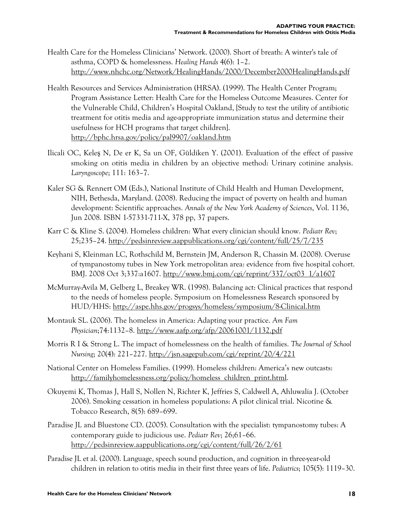- Health Care for the Homeless Clinicians' Network. (2000). Short of breath: A winter's tale of asthma, COPD & homelessness. *Healing Hands* 4(6): 1–2. <http://www.nhchc.org/Network/HealingHands/2000/December2000HealingHands.pdf>
- Health Resources and Services Administration (HRSA). (1999). The Health Center Program; Program Assistance Letter: Health Care for the Homeless Outcome Measures. Center for the Vulnerable Child, Children's Hospital Oakland, [Study to test the utility of antibiotic treatment for otitis media and age-appropriate immunization status and determine their usefulness for HCH programs that target children]. <http://bphc.hrsa.gov/policy/pal9907/oakland.htm>
- Ilicali OC, Keleş N, De er K, Sa un OF, Güldíken Y. (2001). Evaluation of the effect of passive smoking on otitis media in children by an objective method: Urinary cotinine analysis. *Laryngoscope*; 111: 163–7.
- Kaler SG & Rennert OM (Eds.), National Institute of Child Health and Human Development, NIH, Bethesda, Maryland. (2008). Reducing the impact of poverty on health and human development: Scientific approaches. *Annals of the New York Academy of Sciences*, Vol. 1136, Jun 2008. ISBN 1-57331-711-X, 378 pp, 37 papers.
- Karr C & Kline S. (2004). Homeless children: What every clinician should know. *Pediatr Rev*; 25;235–24. <http://pedsinreview.aappublications.org/cgi/content/full/25/7/235>
- Keyhani S, Kleinman LC, Rothschild M, Bernstein JM, Anderson R, Chassin M. (2008). Overuse of tympanostomy tubes in New York metropolitan area: evidence from five hospital cohort. BMJ. 2008 Oct 3;337:a1607. [http://www.bmj.com/cgi/reprint/337/oct03\\_1/a1607](http://www.bmj.com/cgi/reprint/337/oct03_1/a1607)
- McMurray-Avila M, Gelberg L, Breakey WR. (1998). Balancing act: Clinical practices that respond to the needs of homeless people. Symposium on Homelessness Research sponsored by HUD/HHS:<http://aspe.hhs.gov/progsys/homeless/symposium/8-Clinical.htm>
- Montauk SL. (2006). The homeless in America: Adapting your practice. *Am Fam Physician*;74:1132–8. <http://www.aafp.org/afp/20061001/1132.pdf>
- Morris R I & Strong L. The impact of homelessness on the health of families. *The Journal of School Nursing*; 20(4): 221–227.<http://jsn.sagepub.com/cgi/reprint/20/4/221>
- National Center on Homeless Families. (1999). Homeless children: America's new outcasts: [http://familyhomelessness.org/policy/homeless\\_children\\_print.html.](http://familyhomelessness.org/policy/homeless_children_print.html)
- Okuyemi K, Thomas J, Hall S, Nollen N, Richter K, Jeffries S, Caldwell A, Ahluwalia J. (October 2006). Smoking cessation in homeless populations: A pilot clinical trial. Nicotine & Tobacco Research, 8(5): 689–699.
- Paradise JL and Bluestone CD. (2005). Consultation with the specialist: tympanostomy tubes: A contemporary guide to judicious use. *Pediatr Rev*; 26;61–66. <http://pedsinreview.aappublications.org/cgi/content/full/26/2/61>
- Paradise JL et al. (2000). Language, speech sound production, and cognition in three-year-old children in relation to otitis media in their first three years of life. *Pediatrics*; 105(5): 1119–30.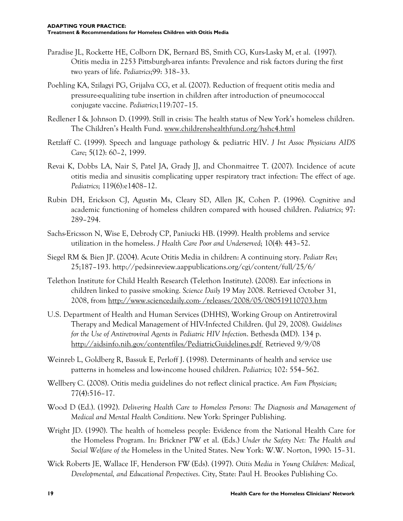- Paradise JL, Rockette HE, Colborn DK, Bernard BS, Smith CG, Kurs-Lasky M, et al. (1997). Otitis media in 2253 Pittsburgh-area infants: Prevalence and risk factors during the first two years of life. *Pediatrics*;99: 318–33.
- Poehling KA, Szilagyi PG, Grijalva CG, et al. (2007). Reduction of frequent otitis media and pressure-equalizing tube insertion in children after introduction of pneumococcal conjugate vaccine. *Pediatrics*;119:707–15.
- Redlener I & Johnson D. (1999). Still in crisis: The health status of New York's homeless children. The Children's Health Fund. [www.childrenshealthfund.org/hshc4.html](http://www.childrenshealthfund.org/hshc4.html)
- Retzlaff C. (1999). Speech and language pathology & pediatric HIV. *J Int Assoc Physicians AIDS Care*; 5(12): 60–2, 1999.
- Revai K, Dobbs LA, Nair S, Patel JA, Grady JJ, and Chonmaitree T. (2007). Incidence of acute otitis media and sinusitis complicating upper respiratory tract infection: The effect of age. *Pediatrics*; 119(6):e1408–12.
- Rubin DH, Erickson CJ, Agustin Ms, Cleary SD, Allen JK, Cohen P. (1996). Cognitive and academic functioning of homeless children compared with housed children. *Pediatrics*; 97: 289–294.
- Sachs-Ericsson N, Wise E, Debrody CP, Paniucki HB. (1999). Health problems and service utilization in the homeless. *J Health Care Poor and Underserved*; 10(4): 443–52.
- Siegel RM & Bien JP. (2004). Acute Otitis Media in children: A continuing story. *Pediatr Rev*; 25;187–193. <http://pedsinreview.aappublications.org/cgi/content/full/25/6/>
- Telethon Institute for Child Health Research (Telethon Institute). (2008). Ear infections in children linked to passive smoking. *Science Daily* 19 May 2008. Retrieved October 31, 2008, from<http://www.sciencedaily.com-> /releases/2008/05/080519110703.htm
- U.S. Department of Health and Human Services (DHHS), Working Group on Antiretroviral Therapy and Medical Management of HIV-Infected Children. (Jul 29, 2008). *Guidelines for the Use of Antiretroviral Agents in Pediatric HIV Infection*. Bethesda (MD). 134 p. <http://aidsinfo.nih.gov/contentfiles/PediatricGuidelines.pdf> Retrieved 9/9/08
- Weinreb L, Goldberg R, Bassuk E, Perloff J. (1998). Determinants of health and service use patterns in homeless and low-income housed children. *Pediatrics*; 102: 554–562.
- Wellbery C. (2008). Otitis media guidelines do not reflect clinical practice. *Am Fam Physician*; 77(4):516–17.
- Wood D (Ed.). (1992). *Delivering Health Care to Homeless Persons: The Diagnosis and Management of Medical and Mental Health Conditions*. New York: Springer Publishing.
- Wright JD. (1990). The health of homeless people: Evidence from the National Health Care for the Homeless Program. In: Brickner PW et al. (Eds.) *Under the Safety Net: The Health and Social Welfare of the* Homeless in the United States. New York: W.W. Norton, 1990: 15–31.
- Wick Roberts JE, Wallace IF, Henderson FW (Eds). (1997). *Otitis Media in Young Children: Medical, Developmental, and Educational Perspectives*. City, State: Paul H. Brookes Publishing Co.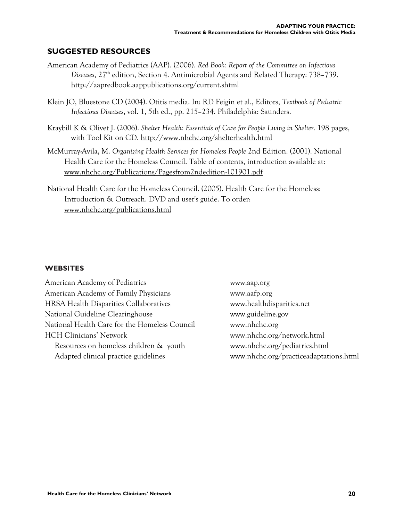#### **SUGGESTED RESOURCES**

- American Academy of Pediatrics (AAP). (2006). *Red Book: Report of the Committee on Infectious Diseases*, 27th edition, Section 4. Antimicrobial Agents and Related Therapy: 738–739. <http://aapredbook.aappublications.org/current.shtml>
- Klein JO, Bluestone CD (2004). Otitis media. In: RD Feigin et al., Editors, *Textbook of Pediatric Infectious Diseases*, vol. 1, 5th ed., pp. 215–234. Philadelphia: Saunders.
- Kraybill K & Olivet J. (2006). *Shelter Health: Essentials of Care for People Living in Shelter*. 198 pages, with Tool Kit on CD. <http://www.nhchc.org/shelterhealth.html>
- McMurray-Avila, M. *Organizing Health Services for Homeless People* 2nd Edition. (2001). National Health Care for the Homeless Council. Table of contents, introduction available at: [www.nhchc.org/Publications/Pagesfrom2ndedition-101901.pdf](http://www.nhchc.org/Publications/Pagesfrom2ndedition-101901.pdf)
- National Health Care for the Homeless Council. (2005). Health Care for the Homeless: Introduction & Outreach. DVD and user's guide. To order: [www.nhchc.org/publications.html](http://www.nhchc.org/publications.html)

#### **WEBSITES**

American Academy of Pediatrics [www.aap.org](http://www.aap.org)  American Academy of Family Physicians www.aafp.org HRSA Health Disparities Collaboratives [www.healthdisparities.net](http://www.healthdisparities.net)  National Guideline Clearinghouse [www.guideline.gov](http://www.guideline.gov)  National Health Care for the Homeless Council [www.nhchc.org](http://www.nhchc.org)  HCH Clinicians' Network [www.nhchc.org/network.html](http://www.nhchc.org/network.html)  Resources on homeless children & youth [www.nhchc.org/pediatrics.html](http://www.nhchc.org/pediatrics.html) 

Adapted clinical practice guidelines [www.nhchc.org/practiceadaptations.html](http://www.nhchc.org/practiceadaptations.html)